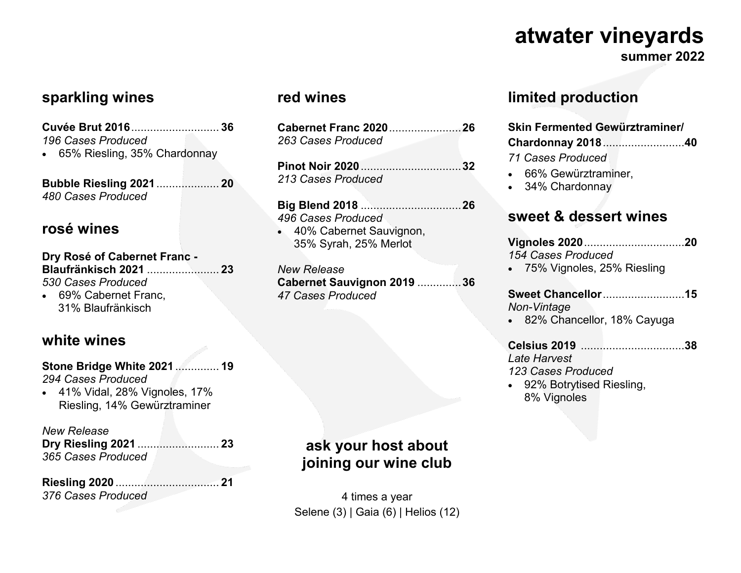# **atwater vineyards**

**summer 2022**

# **sparkling wines**

| Cuvée Brut 2016 36             |  |
|--------------------------------|--|
| 196 Cases Produced             |  |
| • 65% Riesling, 35% Chardonnay |  |

**Bubble Riesling 2021**.................... **20** *480 Cases Produced*

### **rosé wines**

#### **Dry Rosé of Cabernet Franc - Blaufränkisch 2021** ....................... **23**

*530 Cases Produced*

• 69% Cabernet Franc, 31% Blaufränkisch

# **white wines**

#### **Stone Bridge White 2021**.............. **19** *294 Cases Produced*

• 41% Vidal, 28% Vignoles, 17% Riesling, 14% Gewürztraminer

#### *New Release*

| Dry Riesling 2021  23<br>365 Cases Produced |  |
|---------------------------------------------|--|
| 376 Cases Produced                          |  |

#### **red wines**

| 263 Cases Produced |  |
|--------------------|--|

**Pinot Noir 2020**................................**32** *213 Cases Produced*

**Big Blend 2018** ................................**26** *496 Cases Produced*

• 40% Cabernet Sauvignon, 35% Syrah, 25% Merlot

*New Release* **Cabernet Sauvignon 2019** ..............**36** *47 Cases Produced*

# **ask your host about joining our wine club**

4 times a year Selene (3) | Gaia (6) | Helios (12)

# **limited production**

| <b>Skin Fermented Gewürztraminer/</b> |  |  |
|---------------------------------------|--|--|
| Chardonnay 201840                     |  |  |
| 71 Cases Produced                     |  |  |
|                                       |  |  |

- 66% Gewürztraminer,
- 34% Chardonnay

### **sweet & dessert wines**

| Vignoles 2020<br>154 Cases Produced<br>75% Vignoles, 25% Riesling                                                             |     |
|-------------------------------------------------------------------------------------------------------------------------------|-----|
| Sweet Chancellor<br>Non-Vintage<br>82% Chancellor, 18% Cayuga                                                                 | -15 |
| Celsius 2019 — International Section Celsius<br>Late Harvest<br>123 Cases Produced<br>92% Botrytised Riesling,<br>8% Vignoles | 38  |